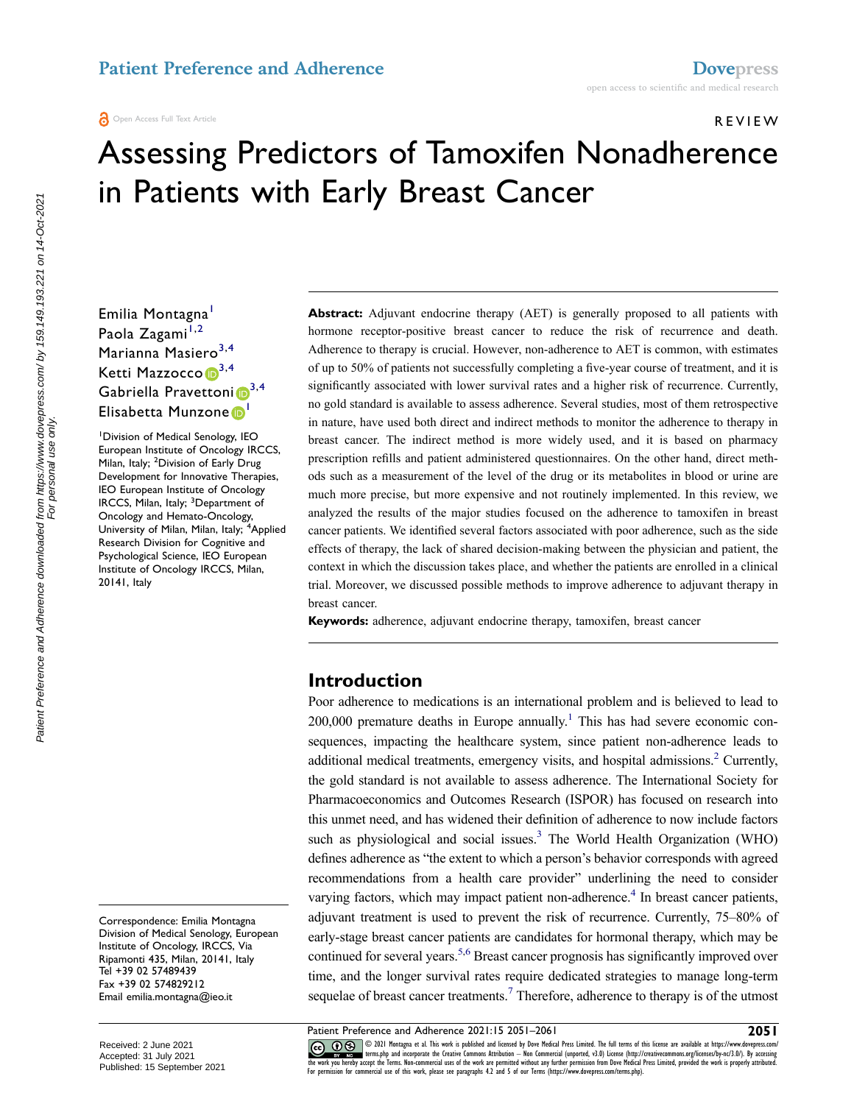REVIEW

# Assessing Predictors of Tamoxifen Nonadherence in Patients with Early Breast Cancer

# Emilia Montagna<sup>[1](#page-0-0)</sup> Paola Zagami<sup>[1](#page-0-0),[2](#page-0-1)</sup> Marianna Masiero<sup>[3](#page-0-2),[4](#page-0-3)</sup> Ketti Mazzocco D<sup>[3,](#page-0-2)[4](#page-0-3)</sup> Gabriella Pravettoni<sup>[3,](#page-0-2)4</sup> Elisabetta Munzone D

<span id="page-0-3"></span><span id="page-0-2"></span><span id="page-0-1"></span><span id="page-0-0"></span>1 Division of Medical Senology, IEO European Institute of Oncology IRCCS, Milan, Italy; <sup>2</sup>Division of Early Drug Development for Innovative Therapies, IEO European Institute of Oncology IRCCS, Milan, Italy; <sup>3</sup>Department of Oncology and Hemato-Oncology, University of Milan, Milan, Italy; <sup>4</sup>Applied Research Division for Cognitive and Psychological Science, IEO European Institute of Oncology IRCCS, Milan, 20141, Italy

<span id="page-0-9"></span><span id="page-0-8"></span>Correspondence: Emilia Montagna Division of Medical Senology, European Institute of Oncology, IRCCS, Via Ripamonti 435, Milan, 20141, Italy Tel +39 02 57489439 Fax +39 02 574829212 Email [emilia.montagna@ieo.it](mailto:emilia.montagna@ieo.it)

**Abstract:** Adjuvant endocrine therapy (AET) is generally proposed to all patients with hormone receptor-positive breast cancer to reduce the risk of recurrence and death. Adherence to therapy is crucial. However, non-adherence to AET is common, with estimates of up to 50% of patients not successfully completing a five-year course of treatment, and it is significantly associated with lower survival rates and a higher risk of recurrence. Currently, no gold standard is available to assess adherence. Several studies, most of them retrospective in nature, have used both direct and indirect methods to monitor the adherence to therapy in breast cancer. The indirect method is more widely used, and it is based on pharmacy prescription refills and patient administered questionnaires. On the other hand, direct methods such as a measurement of the level of the drug or its metabolites in blood or urine are much more precise, but more expensive and not routinely implemented. In this review, we analyzed the results of the major studies focused on the adherence to tamoxifen in breast cancer patients. We identified several factors associated with poor adherence, such as the side effects of therapy, the lack of shared decision-making between the physician and patient, the context in which the discussion takes place, and whether the patients are enrolled in a clinical trial. Moreover, we discussed possible methods to improve adherence to adjuvant therapy in breast cancer.

**Keywords:** adherence, adjuvant endocrine therapy, tamoxifen, breast cancer

# **Introduction**

<span id="page-0-7"></span><span id="page-0-6"></span><span id="page-0-5"></span><span id="page-0-4"></span>Poor adherence to medications is an international problem and is believed to lead to  $200,000$  premature deaths in Europe annually.<sup>1</sup> This has had severe economic consequences, impacting the healthcare system, since patient non-adherence leads to additional medical treatments, emergency visits, and hospital admissions.<sup>2</sup> Currently, the gold standard is not available to assess adherence. The International Society for Pharmacoeconomics and Outcomes Research (ISPOR) has focused on research into this unmet need, and has widened their definition of adherence to now include factors such as physiological and social issues. $3$  The World Health Organization (WHO) defines adherence as "the extent to which a person's behavior corresponds with agreed recommendations from a health care provider" underlining the need to consider varying factors, which may impact patient non-adherence.<sup>4</sup> In breast cancer patients, adjuvant treatment is used to prevent the risk of recurrence. Currently, 75–80% of early-stage breast cancer patients are candidates for hormonal therapy, which may be continued for several years.<sup>5,[6](#page-8-5)</sup> Breast cancer prognosis has significantly improved over time, and the longer survival rates require dedicated strategies to manage long-term sequelae of breast cancer treatments.<sup>7</sup> Therefore, adherence to therapy is of the utmost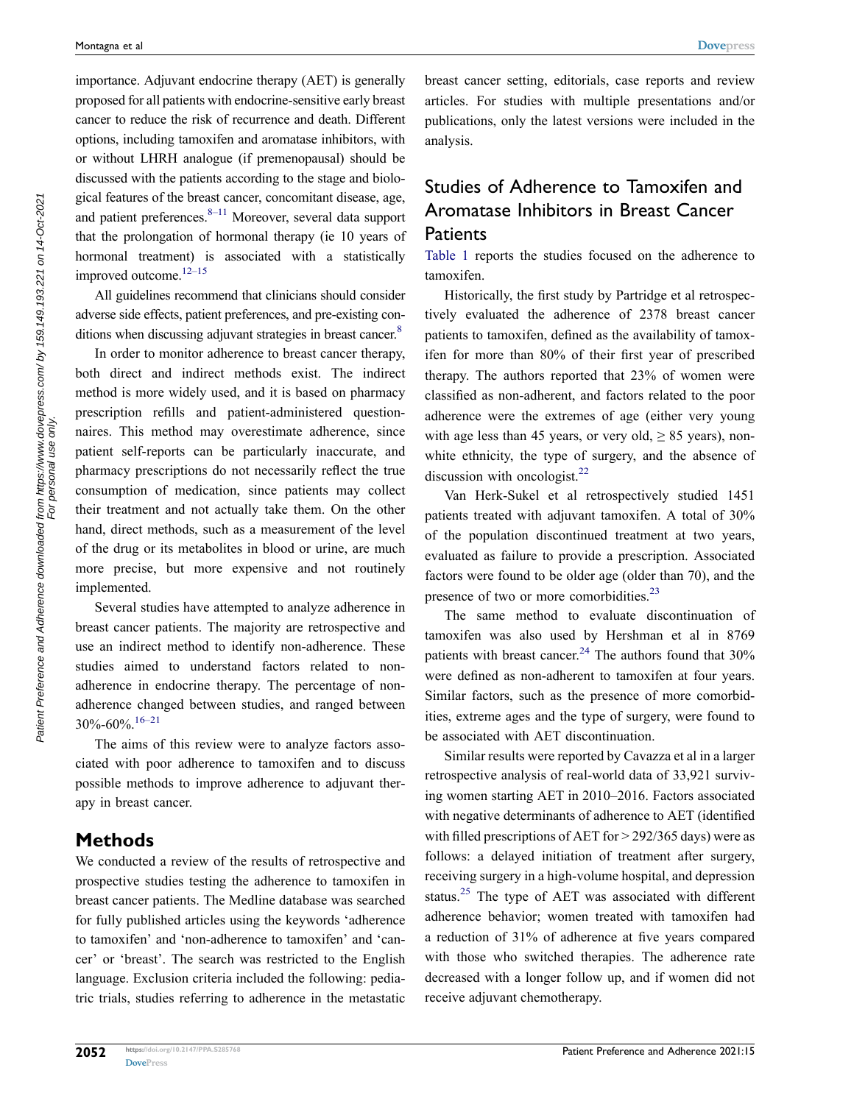importance. Adjuvant endocrine therapy (AET) is generally proposed for all patients with endocrine-sensitive early breast cancer to reduce the risk of recurrence and death. Different options, including tamoxifen and aromatase inhibitors, with or without LHRH analogue (if premenopausal) should be discussed with the patients according to the stage and biological features of the breast cancer, concomitant disease, age, and patient preferences. $8-11$  Moreover, several data support that the prolongation of hormonal therapy (ie 10 years of hormonal treatment) is associated with a statistically improved outcome.<sup>12–15</sup>

<span id="page-1-1"></span>All guidelines recommend that clinicians should consider adverse side effects, patient preferences, and pre-existing con-ditions when discussing adjuvant strategies in breast cancer.<sup>[8](#page-8-7)</sup>

<span id="page-1-0"></span>In order to monitor adherence to breast cancer therapy, both direct and indirect methods exist. The indirect method is more widely used, and it is based on pharmacy prescription refills and patient-administered questionnaires. This method may overestimate adherence, since patient self-reports can be particularly inaccurate, and pharmacy prescriptions do not necessarily reflect the true consumption of medication, since patients may collect their treatment and not actually take them. On the other hand, direct methods, such as a measurement of the level of the drug or its metabolites in blood or urine, are much more precise, but more expensive and not routinely implemented.

Several studies have attempted to analyze adherence in breast cancer patients. The majority are retrospective and use an indirect method to identify non-adherence. These studies aimed to understand factors related to nonadherence in endocrine therapy. The percentage of nonadherence changed between studies, and ranged between  $30\% - 60\%$   $16-21$ 

<span id="page-1-2"></span>The aims of this review were to analyze factors associated with poor adherence to tamoxifen and to discuss possible methods to improve adherence to adjuvant therapy in breast cancer.

# **Methods**

We conducted a review of the results of retrospective and prospective studies testing the adherence to tamoxifen in breast cancer patients. The Medline database was searched for fully published articles using the keywords 'adherence to tamoxifen' and 'non-adherence to tamoxifen' and 'cancer' or 'breast'. The search was restricted to the English language. Exclusion criteria included the following: pediatric trials, studies referring to adherence in the metastatic breast cancer setting, editorials, case reports and review articles. For studies with multiple presentations and/or publications, only the latest versions were included in the analysis.

# Studies of Adherence to Tamoxifen and Aromatase Inhibitors in Breast Cancer **Patients**

[Table 1](#page-2-0) reports the studies focused on the adherence to tamoxifen.

Historically, the first study by Partridge et al retrospectively evaluated the adherence of 2378 breast cancer patients to tamoxifen, defined as the availability of tamoxifen for more than 80% of their first year of prescribed therapy. The authors reported that 23% of women were classified as non-adherent, and factors related to the poor adherence were the extremes of age (either very young with age less than 45 years, or very old,  $\geq 85$  years), nonwhite ethnicity, the type of surgery, and the absence of discussion with oncologist. $^{22}$  $^{22}$  $^{22}$ 

<span id="page-1-3"></span>Van Herk-Sukel et al retrospectively studied 1451 patients treated with adjuvant tamoxifen. A total of 30% of the population discontinued treatment at two years, evaluated as failure to provide a prescription. Associated factors were found to be older age (older than 70), and the presence of two or more comorbidities.<sup>[23](#page-9-1)</sup>

<span id="page-1-5"></span><span id="page-1-4"></span>The same method to evaluate discontinuation of tamoxifen was also used by Hershman et al in 8769 patients with breast cancer.<sup>[24](#page-9-2)</sup> The authors found that  $30\%$ were defined as non-adherent to tamoxifen at four years. Similar factors, such as the presence of more comorbidities, extreme ages and the type of surgery, were found to be associated with AET discontinuation.

<span id="page-1-6"></span>Similar results were reported by Cavazza et al in a larger retrospective analysis of real-world data of 33,921 surviving women starting AET in 2010–2016. Factors associated with negative determinants of adherence to AET (identified with filled prescriptions of AET for > 292/365 days) were as follows: a delayed initiation of treatment after surgery, receiving surgery in a high-volume hospital, and depression status.<sup>[25](#page-9-3)</sup> The type of AET was associated with different adherence behavior; women treated with tamoxifen had a reduction of 31% of adherence at five years compared with those who switched therapies. The adherence rate decreased with a longer follow up, and if women did not receive adjuvant chemotherapy.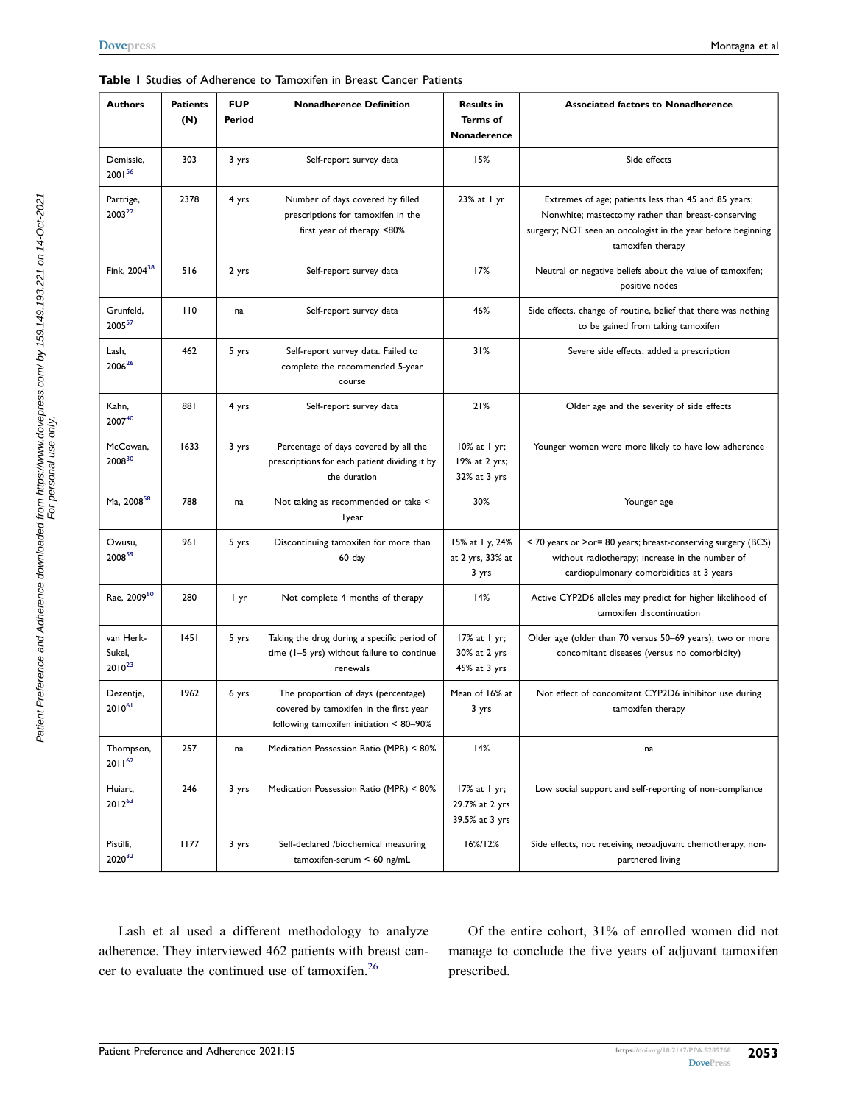<span id="page-2-8"></span><span id="page-2-7"></span><span id="page-2-6"></span><span id="page-2-5"></span><span id="page-2-4"></span><span id="page-2-2"></span><span id="page-2-1"></span>

| <b>Authors</b>                     | <b>Patients</b><br>(N) | <b>FUP</b><br>Period | <b>Nonadherence Definition</b>                                                                                           | <b>Results in</b><br>Terms of<br>Nonaderence       | <b>Associated factors to Nonadherence</b>                                                                                                                                                       |  |  |
|------------------------------------|------------------------|----------------------|--------------------------------------------------------------------------------------------------------------------------|----------------------------------------------------|-------------------------------------------------------------------------------------------------------------------------------------------------------------------------------------------------|--|--|
| Demissie,<br>2001 <sup>56</sup>    | 303                    | 3 yrs                | Self-report survey data                                                                                                  | 15%                                                | Side effects                                                                                                                                                                                    |  |  |
| Partrige,<br>200322                | 2378                   | 4 yrs                | Number of days covered by filled<br>prescriptions for tamoxifen in the<br>first year of therapy <80%                     | 23% at 1 yr                                        | Extremes of age; patients less than 45 and 85 years;<br>Nonwhite; mastectomy rather than breast-conserving<br>surgery; NOT seen an oncologist in the year before beginning<br>tamoxifen therapy |  |  |
| Fink, 2004 <sup>38</sup>           | 516                    | 2 yrs                | Self-report survey data                                                                                                  | 17%                                                | Neutral or negative beliefs about the value of tamoxifen;<br>positive nodes                                                                                                                     |  |  |
| Grunfeld,<br>200557                | 110                    | na                   | Self-report survey data                                                                                                  | 46%                                                | Side effects, change of routine, belief that there was nothing<br>to be gained from taking tamoxifen                                                                                            |  |  |
| Lash,<br>200626                    | 462                    | 5 yrs                | Self-report survey data. Failed to<br>complete the recommended 5-year<br>course                                          | 31%                                                | Severe side effects, added a prescription                                                                                                                                                       |  |  |
| Kahn,<br>200740                    | 881                    | 4 yrs                | Self-report survey data                                                                                                  | 21%                                                | Older age and the severity of side effects                                                                                                                                                      |  |  |
| McCowan,<br>2008 <sup>30</sup>     | 1633                   | 3 yrs                | Percentage of days covered by all the<br>prescriptions for each patient dividing it by<br>the duration                   | $10\%$ at $1$ yr;<br>19% at 2 yrs;<br>32% at 3 yrs | Younger women were more likely to have low adherence                                                                                                                                            |  |  |
| Ma, 2008 <sup>58</sup>             | 788                    | na                   | Not taking as recommended or take <<br><b>Iyear</b>                                                                      | 30%                                                | Younger age                                                                                                                                                                                     |  |  |
| Owusu,<br>2008 <sup>59</sup>       | 961                    | 5 yrs                | Discontinuing tamoxifen for more than<br>60 day                                                                          | 15% at 1 y, 24%<br>at 2 yrs, 33% at<br>3 yrs       | < 70 years or >or= 80 years; breast-conserving surgery (BCS)<br>without radiotherapy; increase in the number of<br>cardiopulmonary comorbidities at 3 years                                     |  |  |
| Rae, 200960                        | 280                    | I yr                 | Not complete 4 months of therapy                                                                                         | 14%                                                | Active CYP2D6 alleles may predict for higher likelihood of<br>tamoxifen discontinuation                                                                                                         |  |  |
| van Herk-<br>Sukel,<br>$2010^{23}$ | 1451                   | 5 yrs                | Taking the drug during a specific period of<br>time (I-5 yrs) without failure to continue<br>renewals                    | 17% at 1 yr;<br>30% at 2 yrs<br>45% at 3 yrs       | Older age (older than 70 versus 50-69 years); two or more<br>concomitant diseases (versus no comorbidity)                                                                                       |  |  |
| Dezentje,<br>$2010^{61}$           | 1962                   | 6 yrs                | The proportion of days (percentage)<br>covered by tamoxifen in the first year<br>following tamoxifen initiation < 80-90% | Mean of 16% at<br>3 yrs                            | Not effect of concomitant CYP2D6 inhibitor use during<br>tamoxifen therapy                                                                                                                      |  |  |
| Thompson,<br>$2011^{62}$           | 257                    | na                   | Medication Possession Ratio (MPR) < 80%                                                                                  | 14%                                                | na                                                                                                                                                                                              |  |  |
| Huiart,<br>$2012^{63}$             | 246                    | 3 yrs                | Medication Possession Ratio (MPR) < 80%                                                                                  | 17% at 1 yr;<br>29.7% at 2 yrs<br>39.5% at 3 yrs   | Low social support and self-reporting of non-compliance                                                                                                                                         |  |  |
| Pistilli,<br>202032                | 1177                   | 3 yrs                | Self-declared /biochemical measuring<br>tamoxifen-serum $< 60$ ng/mL                                                     | 16%/12%                                            | Side effects, not receiving neoadjuvant chemotherapy, non-<br>partnered living                                                                                                                  |  |  |

#### <span id="page-2-0"></span>**Table 1** Studies of Adherence to Tamoxifen in Breast Cancer Patients

<span id="page-2-13"></span><span id="page-2-12"></span><span id="page-2-11"></span><span id="page-2-10"></span><span id="page-2-9"></span><span id="page-2-3"></span>Lash et al used a different methodology to analyze adherence. They interviewed 462 patients with breast cancer to evaluate the continued use of tamoxifen.[26](#page-9-4)

Of the entire cohort, 31% of enrolled women did not manage to conclude the five years of adjuvant tamoxifen prescribed.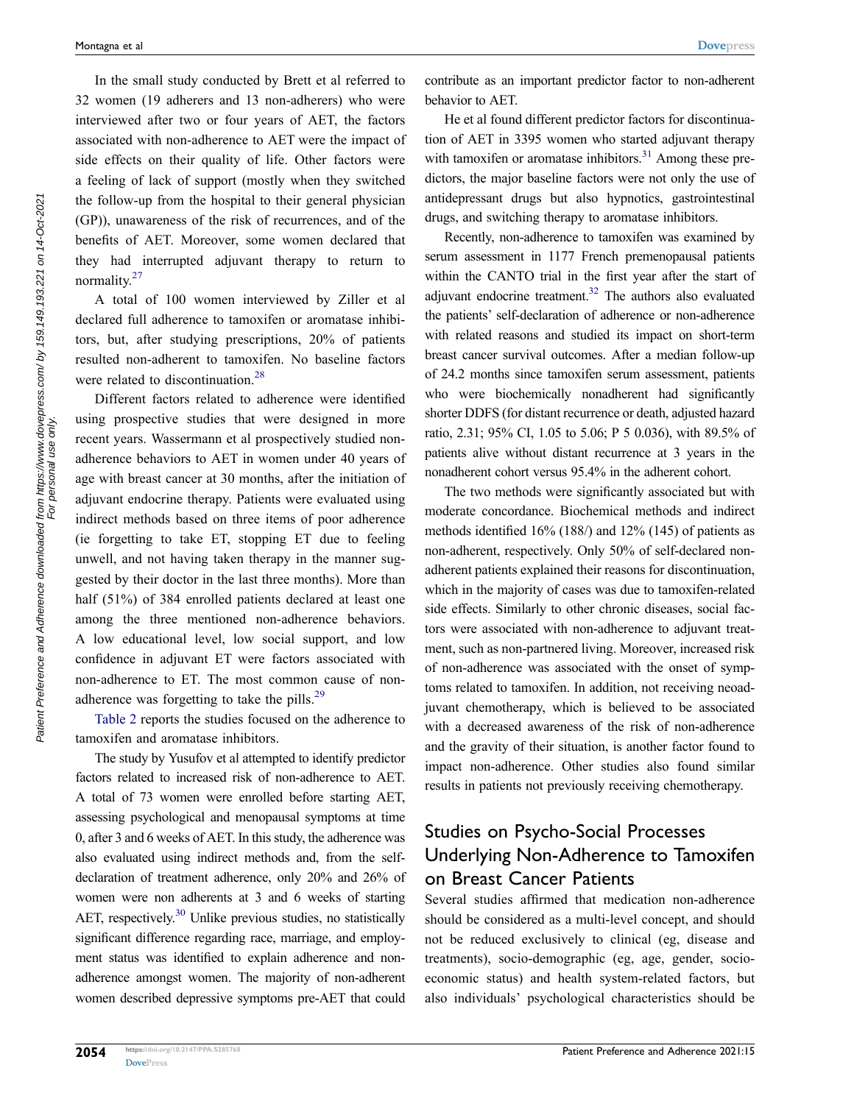In the small study conducted by Brett et al referred to 32 women (19 adherers and 13 non-adherers) who were interviewed after two or four years of AET, the factors associated with non-adherence to AET were the impact of side effects on their quality of life. Other factors were a feeling of lack of support (mostly when they switched the follow-up from the hospital to their general physician (GP)), unawareness of the risk of recurrences, and of the benefits of AET. Moreover, some women declared that they had interrupted adjuvant therapy to return to normality.[27](#page-9-9)

<span id="page-3-0"></span>A total of 100 women interviewed by Ziller et al declared full adherence to tamoxifen or aromatase inhibitors, but, after studying prescriptions, 20% of patients resulted non-adherent to tamoxifen. No baseline factors were related to discontinuation.<sup>[28](#page-9-10)</sup>

<span id="page-3-1"></span>Different factors related to adherence were identified using prospective studies that were designed in more recent years. Wassermann et al prospectively studied nonadherence behaviors to AET in women under 40 years of age with breast cancer at 30 months, after the initiation of adjuvant endocrine therapy. Patients were evaluated using indirect methods based on three items of poor adherence (ie forgetting to take ET, stopping ET due to feeling unwell, and not having taken therapy in the manner suggested by their doctor in the last three months). More than half (51%) of 384 enrolled patients declared at least one among the three mentioned non-adherence behaviors. A low educational level, low social support, and low confidence in adjuvant ET were factors associated with non-adherence to ET. The most common cause of nonadherence was forgetting to take the pills.[29](#page-9-11)

<span id="page-3-2"></span>[Table 2](#page-4-0) reports the studies focused on the adherence to tamoxifen and aromatase inhibitors.

The study by Yusufov et al attempted to identify predictor factors related to increased risk of non-adherence to AET. A total of 73 women were enrolled before starting AET, assessing psychological and menopausal symptoms at time 0, after 3 and 6 weeks of AET. In this study, the adherence was also evaluated using indirect methods and, from the selfdeclaration of treatment adherence, only 20% and 26% of women were non adherents at 3 and 6 weeks of starting AET, respectively.<sup>30</sup> Unlike previous studies, no statistically significant difference regarding race, marriage, and employment status was identified to explain adherence and nonadherence amongst women. The majority of non-adherent women described depressive symptoms pre-AET that could contribute as an important predictor factor to non-adherent behavior to AET.

<span id="page-3-3"></span>He et al found different predictor factors for discontinuation of AET in 3395 women who started adjuvant therapy with tamoxifen or aromatase inhibitors. $31$  Among these predictors, the major baseline factors were not only the use of antidepressant drugs but also hypnotics, gastrointestinal drugs, and switching therapy to aromatase inhibitors.

Recently, non-adherence to tamoxifen was examined by serum assessment in 1177 French premenopausal patients within the CANTO trial in the first year after the start of adjuvant endocrine treatment.<sup>32</sup> The authors also evaluated the patients' self-declaration of adherence or non-adherence with related reasons and studied its impact on short-term breast cancer survival outcomes. After a median follow-up of 24.2 months since tamoxifen serum assessment, patients who were biochemically nonadherent had significantly shorter DDFS (for distant recurrence or death, adjusted hazard ratio, 2.31; 95% CI, 1.05 to 5.06; P 5 0.036), with 89.5% of patients alive without distant recurrence at 3 years in the nonadherent cohort versus 95.4% in the adherent cohort.

The two methods were significantly associated but with moderate concordance. Biochemical methods and indirect methods identified 16% (188/) and 12% (145) of patients as non-adherent, respectively. Only 50% of self-declared nonadherent patients explained their reasons for discontinuation, which in the majority of cases was due to tamoxifen-related side effects. Similarly to other chronic diseases, social factors were associated with non-adherence to adjuvant treatment, such as non-partnered living. Moreover, increased risk of non-adherence was associated with the onset of symptoms related to tamoxifen. In addition, not receiving neoadjuvant chemotherapy, which is believed to be associated with a decreased awareness of the risk of non-adherence and the gravity of their situation, is another factor found to impact non-adherence. Other studies also found similar results in patients not previously receiving chemotherapy.

# Studies on Psycho-Social Processes Underlying Non-Adherence to Tamoxifen on Breast Cancer Patients

Several studies affirmed that medication non-adherence should be considered as a multi-level concept, and should not be reduced exclusively to clinical (eg, disease and treatments), socio-demographic (eg, age, gender, socioeconomic status) and health system-related factors, but also individuals' psychological characteristics should be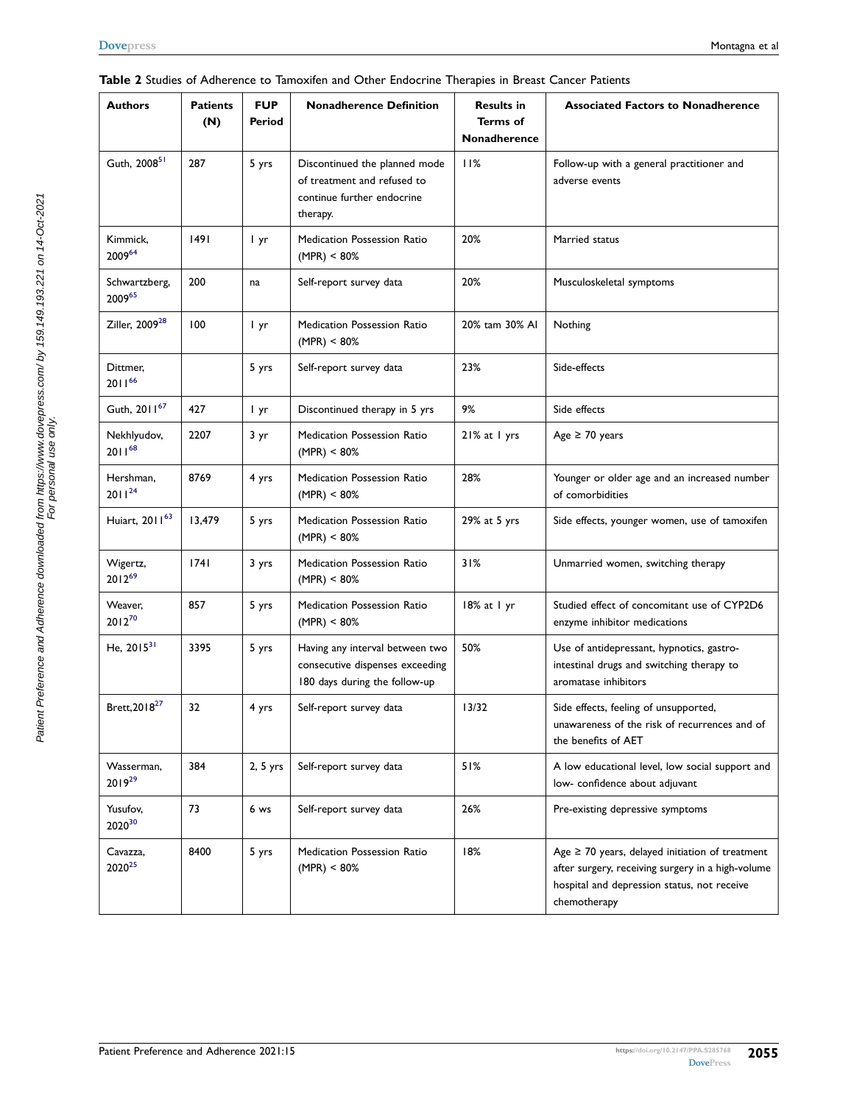<span id="page-4-8"></span><span id="page-4-7"></span><span id="page-4-6"></span><span id="page-4-5"></span><span id="page-4-4"></span><span id="page-4-3"></span><span id="page-4-2"></span><span id="page-4-1"></span>

| <b>Authors</b><br><b>Patients</b><br>(N) |        | <b>FUP</b><br>Period | <b>Nonadherence Definition</b>                                                                         | <b>Results in</b><br><b>Terms of</b><br>Nonadherence | <b>Associated Factors to Nonadherence</b>                                                                                                                                |  |  |
|------------------------------------------|--------|----------------------|--------------------------------------------------------------------------------------------------------|------------------------------------------------------|--------------------------------------------------------------------------------------------------------------------------------------------------------------------------|--|--|
| Guth, 2008 <sup>51</sup>                 | 287    | 5 yrs                | Discontinued the planned mode<br>of treatment and refused to<br>continue further endocrine<br>therapy. | 11%                                                  | Follow-up with a general practitioner and<br>adverse events                                                                                                              |  |  |
| Kimmick,<br>200964                       | 1491   | l yr                 | Medication Possession Ratio<br>(MPR) < 80%                                                             | 20%                                                  | Married status                                                                                                                                                           |  |  |
| Schwartzberg,<br>200965                  | 200    | na                   | Self-report survey data                                                                                | 20%                                                  | Musculoskeletal symptoms                                                                                                                                                 |  |  |
| Ziller, 2009 <sup>28</sup>               | 100    | l yr                 | <b>Medication Possession Ratio</b><br>(MPR) < 80%                                                      | 20% tam 30% Al                                       | Nothing                                                                                                                                                                  |  |  |
| Dittmer,<br>201166                       |        | 5 yrs                | Self-report survey data                                                                                | 23%                                                  | Side-effects                                                                                                                                                             |  |  |
| Guth, 2011 <sup>67</sup>                 | 427    | I yr                 | Discontinued therapy in 5 yrs                                                                          | 9%                                                   | Side effects                                                                                                                                                             |  |  |
| Nekhlyudov,<br>$2011^{68}$               | 2207   | 3 yr                 | <b>Medication Possession Ratio</b><br>(MPR) < 80%                                                      | $21\%$ at $1$ yrs                                    | Age $\geq 70$ years                                                                                                                                                      |  |  |
| Hershman,<br>$2011^{24}$                 | 8769   | 4 yrs                | <b>Medication Possession Ratio</b><br>$(MPR) < 80\%$                                                   | 28%                                                  | Younger or older age and an increased number<br>of comorbidities                                                                                                         |  |  |
| Huiart, 2011 <sup>63</sup>               | 13,479 | 5 yrs                | Medication Possession Ratio<br>(MPR) < 80%                                                             | 29% at 5 yrs                                         | Side effects, younger women, use of tamoxifen                                                                                                                            |  |  |
| Wigertz,<br>201269                       | 1741   | 3 yrs                | Medication Possession Ratio<br>$(MPR) < 80\%$                                                          | 31%                                                  | Unmarried women, switching therapy                                                                                                                                       |  |  |
| Weaver,<br>$2012^{70}$                   | 857    | 5 yrs                | <b>Medication Possession Ratio</b><br>(MPR) < 80%                                                      | $18\%$ at 1 yr                                       | Studied effect of concomitant use of CYP2D6<br>enzyme inhibitor medications                                                                                              |  |  |
| He, $2015^{31}$                          | 3395   | 5 yrs                | Having any interval between two<br>consecutive dispenses exceeding<br>180 days during the follow-up    | 50%                                                  | Use of antidepressant, hypnotics, gastro-<br>intestinal drugs and switching therapy to<br>aromatase inhibitors                                                           |  |  |
| Brett, 2018 <sup>27</sup>                | 32     | 4 yrs                | Self-report survey data                                                                                | 13/32                                                | Side effects, feeling of unsupported,<br>unawareness of the risk of recurrences and of<br>the benefits of AET                                                            |  |  |
| Wasserman,<br>$2019^{29}$                | 384    | $2, 5$ yrs           | Self-report survey data                                                                                | 51%                                                  | A low educational level, low social support and<br>low- confidence about adjuvant                                                                                        |  |  |
| Yusufov,<br>2020 <sup>30</sup>           | 73     | 6 ws                 | Self-report survey data                                                                                | 26%                                                  | Pre-existing depressive symptoms                                                                                                                                         |  |  |
| Cavazza,<br>2020 <sup>25</sup>           | 8400   | 5 yrs                | Medication Possession Ratio<br>(MPR) < 80%                                                             | 18%                                                  | Age $\geq$ 70 years, delayed initiation of treatment<br>after surgery, receiving surgery in a high-volume<br>hospital and depression status, not receive<br>chemotherapy |  |  |

### <span id="page-4-0"></span>**Table 2** Studies of Adherence to Tamoxifen and Other Endocrine Therapies in Breast Cancer Patients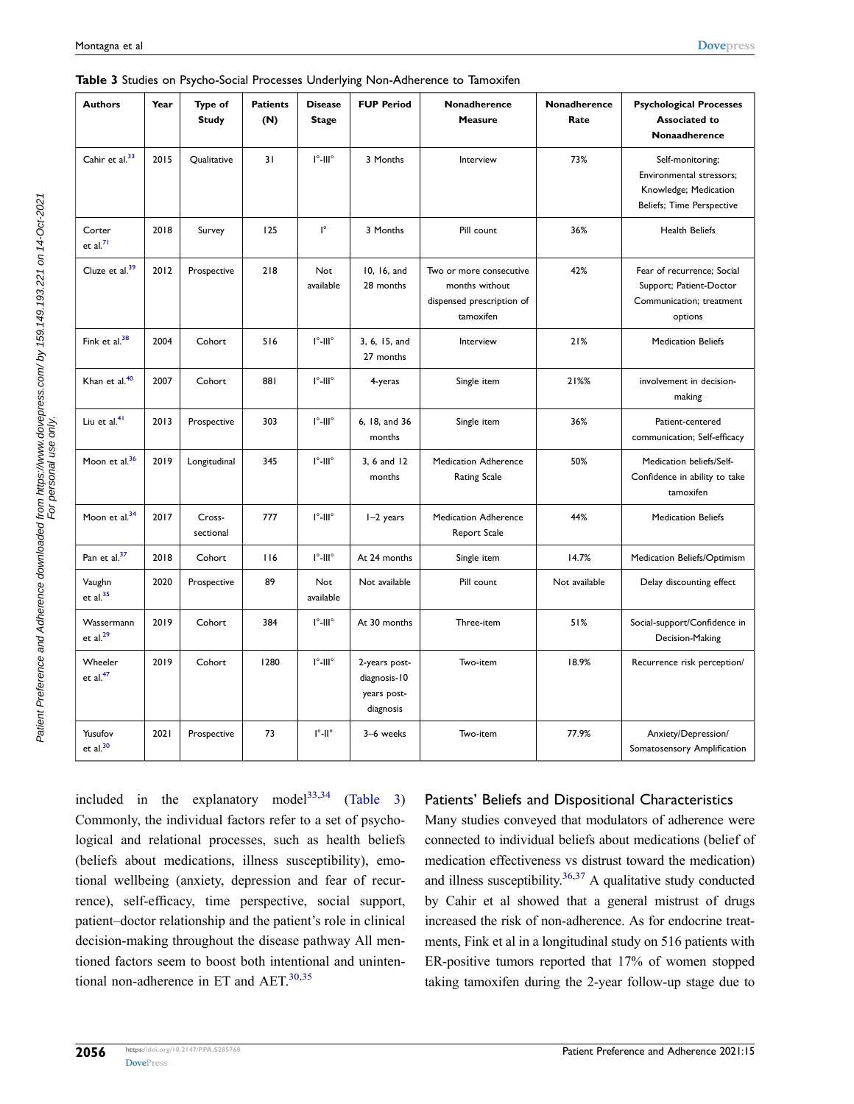<span id="page-5-1"></span>

| <b>Authors</b>                 | Year | Type of<br><b>Study</b> | <b>Patients</b><br>(N) | <b>Disease</b><br><b>Stage</b>               | <b>FUP Period</b>                                         | Nonadherence<br><b>Measure</b>                                                      | Nonadherence<br>Rate | <b>Psychological Processes</b><br><b>Associated to</b><br>Nonaadherence                                   |
|--------------------------------|------|-------------------------|------------------------|----------------------------------------------|-----------------------------------------------------------|-------------------------------------------------------------------------------------|----------------------|-----------------------------------------------------------------------------------------------------------|
| Cahir et al. <sup>33</sup>     | 2015 | Qualitative             | 31                     | $\mathsf{I}^\circ\text{-}\mathsf{III}^\circ$ | 3 Months                                                  | Interview                                                                           | 73%                  | Self-monitoring;<br>Environmental stressors;<br>Knowledge; Medication<br><b>Beliefs; Time Perspective</b> |
| Corter<br>et al. <sup>71</sup> | 2018 | Survey                  | 125                    | $\mathsf{I}^\circ$                           | 3 Months                                                  | Pill count                                                                          | 36%                  | <b>Health Beliefs</b>                                                                                     |
| Cluze et al. <sup>39</sup>     | 2012 | Prospective             | 218                    | <b>Not</b><br>available                      | 10, 16, and<br>28 months                                  | Two or more consecutive<br>months without<br>dispensed prescription of<br>tamoxifen | 42%                  | Fear of recurrence; Social<br>Support; Patient-Doctor<br>Communication; treatment<br>options              |
| Fink et al. <sup>38</sup>      | 2004 | Cohort                  | 516                    | $l^{\circ}$ -III $^{\circ}$                  | 3, 6, 15, and<br>27 months                                | Interview                                                                           | 21%                  | <b>Medication Beliefs</b>                                                                                 |
| Khan et al. <sup>40</sup>      | 2007 | Cohort                  | 881                    | $\mathsf{I}^\circ\text{-}\mathsf{III}^\circ$ | 4-yeras                                                   | Single item                                                                         | 21%%                 | involvement in decision-<br>making                                                                        |
| Liu et al. <sup>41</sup>       | 2013 | Prospective             | 303                    | $\mathsf{I}^\circ\text{-}\mathsf{III}^\circ$ | 6, 18, and 36<br>months                                   | Single item                                                                         | 36%                  | Patient-centered<br>communication; Self-efficacy                                                          |
| Moon et al. <sup>36</sup>      | 2019 | Longitudinal            | 345                    | $l^{\circ}$ -III $^{\circ}$                  | 3, 6 and 12<br>months                                     | <b>Medication Adherence</b><br><b>Rating Scale</b>                                  | 50%                  | Medication beliefs/Self-<br>Confidence in ability to take<br>tamoxifen                                    |
| Moon et al. $34$               | 2017 | Cross-<br>sectional     | 777                    | $\mathsf{I}^\circ\text{-}\mathsf{III}^\circ$ | I-2 years                                                 | <b>Medication Adherence</b><br>Report Scale                                         | 44%                  | <b>Medication Beliefs</b>                                                                                 |
| Pan et al. <sup>37</sup>       | 2018 | Cohort                  | 116                    | $\mathsf{I}^\circ\text{-}\mathsf{III}^\circ$ | At 24 months                                              | Single item                                                                         | 14.7%                | Medication Beliefs/Optimism                                                                               |
| Vaughn<br>et al. <sup>35</sup> | 2020 | Prospective             | 89                     | Not<br>available                             | Not available                                             | Pill count                                                                          | Not available        | Delay discounting effect                                                                                  |
| Wassermann<br>et al. $^{29}$   | 2019 | Cohort                  | 384                    | $\mathsf{I}^\circ\text{-}\mathsf{III}^\circ$ | At 30 months                                              | Three-item                                                                          | 51%                  | Social-support/Confidence in<br>Decision-Making                                                           |
| Wheeler<br>et al. $47$         | 2019 | Cohort                  | 1280                   | $\mathsf{I}^\circ\text{-}\mathsf{III}^\circ$ | 2-years post-<br>diagnosis-10<br>years post-<br>diagnosis | Two-item                                                                            | 18.9%                | Recurrence risk perception/                                                                               |
| Yusufov<br>$et$ al. $30$       | 2021 | Prospective             | 73                     | $\mathsf{l}^\circ\text{-}\mathsf{ll}^\circ$  | 3-6 weeks                                                 | Two-item                                                                            | 77.9%                | Anxiety/Depression/<br>Somatosensory Amplification                                                        |

<span id="page-5-0"></span>**Table 3** Studies on Psycho-Social Processes Underlying Non-Adherence to Tamoxifen

<span id="page-5-8"></span><span id="page-5-5"></span><span id="page-5-3"></span><span id="page-5-2"></span>included in the explanatory model<sup>33,[34](#page-9-15)</sup> [\(Table 3](#page-5-0)) Commonly, the individual factors refer to a set of psychological and relational processes, such as health beliefs (beliefs about medications, illness susceptibility), emotional wellbeing (anxiety, depression and fear of recurrence), self-efficacy, time perspective, social support, patient–doctor relationship and the patient's role in clinical decision-making throughout the disease pathway All mentioned factors seem to boost both intentional and unintentional non-adherence in ET and  $AET$ .<sup>[30,](#page-9-7)[35](#page-9-16)</sup>

#### Patients' Beliefs and Dispositional Characteristics

Many studies conveyed that modulators of adherence were connected to individual beliefs about medications (belief of medication effectiveness vs distrust toward the medication) and illness susceptibility. $36,37$  A qualitative study conducted by Cahir et al showed that a general mistrust of drugs increased the risk of non-adherence. As for endocrine treatments, Fink et al in a longitudinal study on 516 patients with ER-positive tumors reported that 17% of women stopped taking tamoxifen during the 2-year follow-up stage due to

<span id="page-5-9"></span><span id="page-5-7"></span><span id="page-5-6"></span><span id="page-5-4"></span>Patient Preference and Adherence downloaded from https://www.dovepress.com/ by 159.149.193.221 on 14-Oct-2021<br>For personal discussional view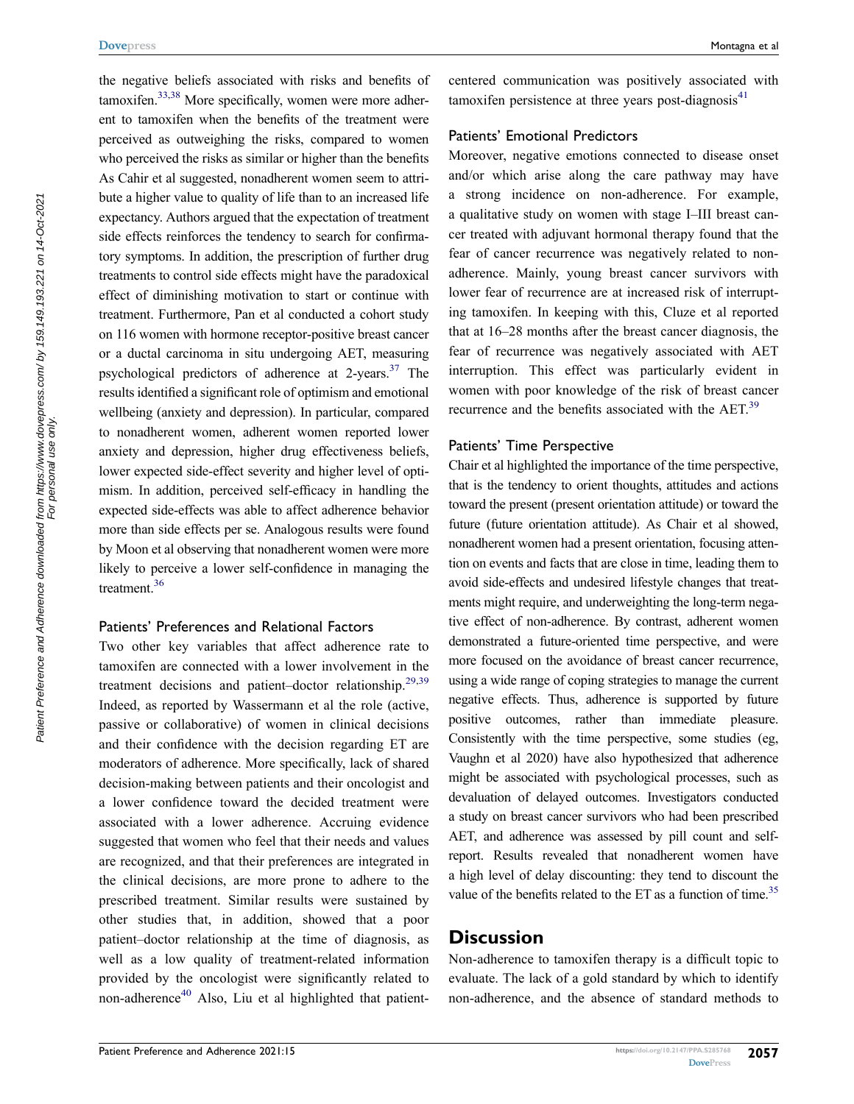the negative beliefs associated with risks and benefits of tamoxifen[.33](#page-9-14)[,38](#page-9-5) More specifically, women were more adherent to tamoxifen when the benefits of the treatment were perceived as outweighing the risks, compared to women who perceived the risks as similar or higher than the benefits As Cahir et al suggested, nonadherent women seem to attribute a higher value to quality of life than to an increased life expectancy. Authors argued that the expectation of treatment side effects reinforces the tendency to search for confirmatory symptoms. In addition, the prescription of further drug treatments to control side effects might have the paradoxical effect of diminishing motivation to start or continue with treatment. Furthermore, Pan et al conducted a cohort study on 116 women with hormone receptor-positive breast cancer or a ductal carcinoma in situ undergoing AET, measuring psychological predictors of adherence at 2-years.<sup>37</sup> The results identified a significant role of optimism and emotional wellbeing (anxiety and depression). In particular, compared to nonadherent women, adherent women reported lower anxiety and depression, higher drug effectiveness beliefs, lower expected side-effect severity and higher level of optimism. In addition, perceived self-efficacy in handling the expected side-effects was able to affect adherence behavior more than side effects per se. Analogous results were found by Moon et al observing that nonadherent women were more likely to perceive a lower self-confidence in managing the treatment[.36](#page-9-17)

#### Patients' Preferences and Relational Factors

Two other key variables that affect adherence rate to tamoxifen are connected with a lower involvement in the treatment decisions and patient–doctor relationship.<sup>[29](#page-9-11),39</sup> Indeed, as reported by Wassermann et al the role (active, passive or collaborative) of women in clinical decisions and their confidence with the decision regarding ET are moderators of adherence. More specifically, lack of shared decision-making between patients and their oncologist and a lower confidence toward the decided treatment were associated with a lower adherence. Accruing evidence suggested that women who feel that their needs and values are recognized, and that their preferences are integrated in the clinical decisions, are more prone to adhere to the prescribed treatment. Similar results were sustained by other studies that, in addition, showed that a poor patient–doctor relationship at the time of diagnosis, as well as a low quality of treatment-related information provided by the oncologist were significantly related to non-adherence $40$  Also, Liu et al highlighted that patientcentered communication was positively associated with tamoxifen persistence at three years post-diagnosis $41$ 

#### Patients' Emotional Predictors

Moreover, negative emotions connected to disease onset and/or which arise along the care pathway may have a strong incidence on non-adherence. For example, a qualitative study on women with stage I–III breast cancer treated with adjuvant hormonal therapy found that the fear of cancer recurrence was negatively related to nonadherence. Mainly, young breast cancer survivors with lower fear of recurrence are at increased risk of interrupting tamoxifen. In keeping with this, Cluze et al reported that at 16–28 months after the breast cancer diagnosis, the fear of recurrence was negatively associated with AET interruption. This effect was particularly evident in women with poor knowledge of the risk of breast cancer recurrence and the benefits associated with the AET.<sup>39</sup>

#### Patients' Time Perspective

Chair et al highlighted the importance of the time perspective, that is the tendency to orient thoughts, attitudes and actions toward the present (present orientation attitude) or toward the future (future orientation attitude). As Chair et al showed, nonadherent women had a present orientation, focusing attention on events and facts that are close in time, leading them to avoid side-effects and undesired lifestyle changes that treatments might require, and underweighting the long-term negative effect of non-adherence. By contrast, adherent women demonstrated a future-oriented time perspective, and were more focused on the avoidance of breast cancer recurrence, using a wide range of coping strategies to manage the current negative effects. Thus, adherence is supported by future positive outcomes, rather than immediate pleasure. Consistently with the time perspective, some studies (eg, Vaughn et al 2020) have also hypothesized that adherence might be associated with psychological processes, such as devaluation of delayed outcomes. Investigators conducted a study on breast cancer survivors who had been prescribed AET, and adherence was assessed by pill count and selfreport. Results revealed that nonadherent women have a high level of delay discounting: they tend to discount the value of the benefits related to the ET as a function of time.<sup>35</sup>

# **Discussion**

Non-adherence to tamoxifen therapy is a difficult topic to evaluate. The lack of a gold standard by which to identify non-adherence, and the absence of standard methods to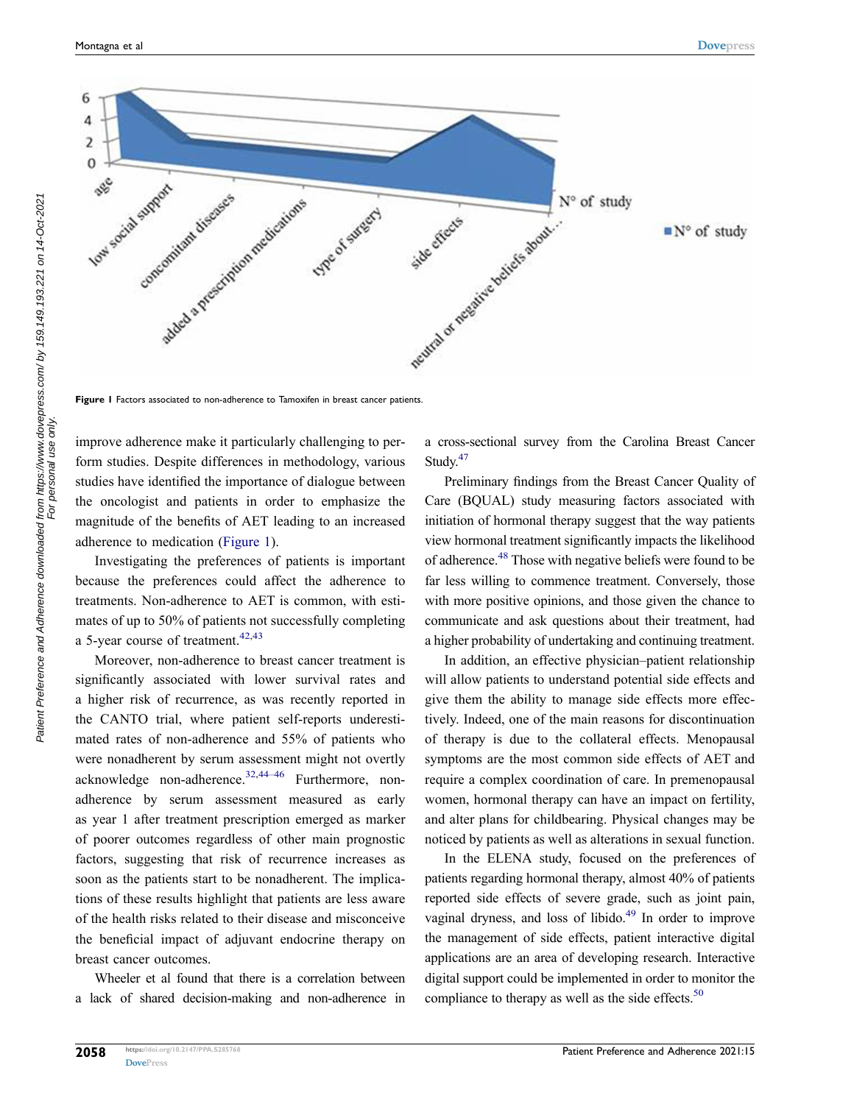a cross-sectional survey from the Carolina Breast Cancer

<span id="page-7-3"></span>Preliminary findings from the Breast Cancer Quality of Care (BQUAL) study measuring factors associated with initiation of hormonal therapy suggest that the way patients view hormonal treatment significantly impacts the likelihood of adherence[.48](#page-9-25) Those with negative beliefs were found to be far less willing to commence treatment. Conversely, those with more positive opinions, and those given the chance to communicate and ask questions about their treatment, had a higher probability of undertaking and continuing treatment.

In addition, an effective physician–patient relationship will allow patients to understand potential side effects and give them the ability to manage side effects more effectively. Indeed, one of the main reasons for discontinuation of therapy is due to the collateral effects. Menopausal symptoms are the most common side effects of AET and require a complex coordination of care. In premenopausal women, hormonal therapy can have an impact on fertility, and alter plans for childbearing. Physical changes may be noticed by patients as well as alterations in sexual function.

<span id="page-7-5"></span><span id="page-7-4"></span>In the ELENA study, focused on the preferences of patients regarding hormonal therapy, almost 40% of patients reported side effects of severe grade, such as joint pain, vaginal dryness, and loss of libido.<sup>[49](#page-9-26)</sup> In order to improve the management of side effects, patient interactive digital applications are an area of developing research. Interactive digital support could be implemented in order to monitor the compliance to therapy as well as the side effects.<sup>50</sup>

**Figure 1** Factors associated to non-adherence to Tamoxifen in breast cancer patients.

improve adherence make it particularly challenging to perform studies. Despite differences in methodology, various studies have identified the importance of dialogue between the oncologist and patients in order to emphasize the magnitude of the benefits of AET leading to an increased adherence to medication ([Figure 1](#page-7-0)).

Investigating the preferences of patients is important because the preferences could affect the adherence to treatments. Non-adherence to AET is common, with estimates of up to 50% of patients not successfully completing a 5-year course of treatment.  $42,43$  $42,43$ 

<span id="page-7-2"></span><span id="page-7-1"></span>Moreover, non-adherence to breast cancer treatment is significantly associated with lower survival rates and a higher risk of recurrence, as was recently reported in the CANTO trial, where patient self-reports underestimated rates of non-adherence and 55% of patients who were nonadherent by serum assessment might not overtly acknowledge non-adherence.<sup>[32,](#page-9-8)[44–46](#page-9-24)</sup> Furthermore, nonadherence by serum assessment measured as early as year 1 after treatment prescription emerged as marker of poorer outcomes regardless of other main prognostic factors, suggesting that risk of recurrence increases as soon as the patients start to be nonadherent. The implications of these results highlight that patients are less aware of the health risks related to their disease and misconceive the beneficial impact of adjuvant endocrine therapy on breast cancer outcomes.

Wheeler et al found that there is a correlation between a lack of shared decision-making and non-adherence in

<span id="page-7-0"></span>

Study.<sup>[47](#page-9-21)</sup>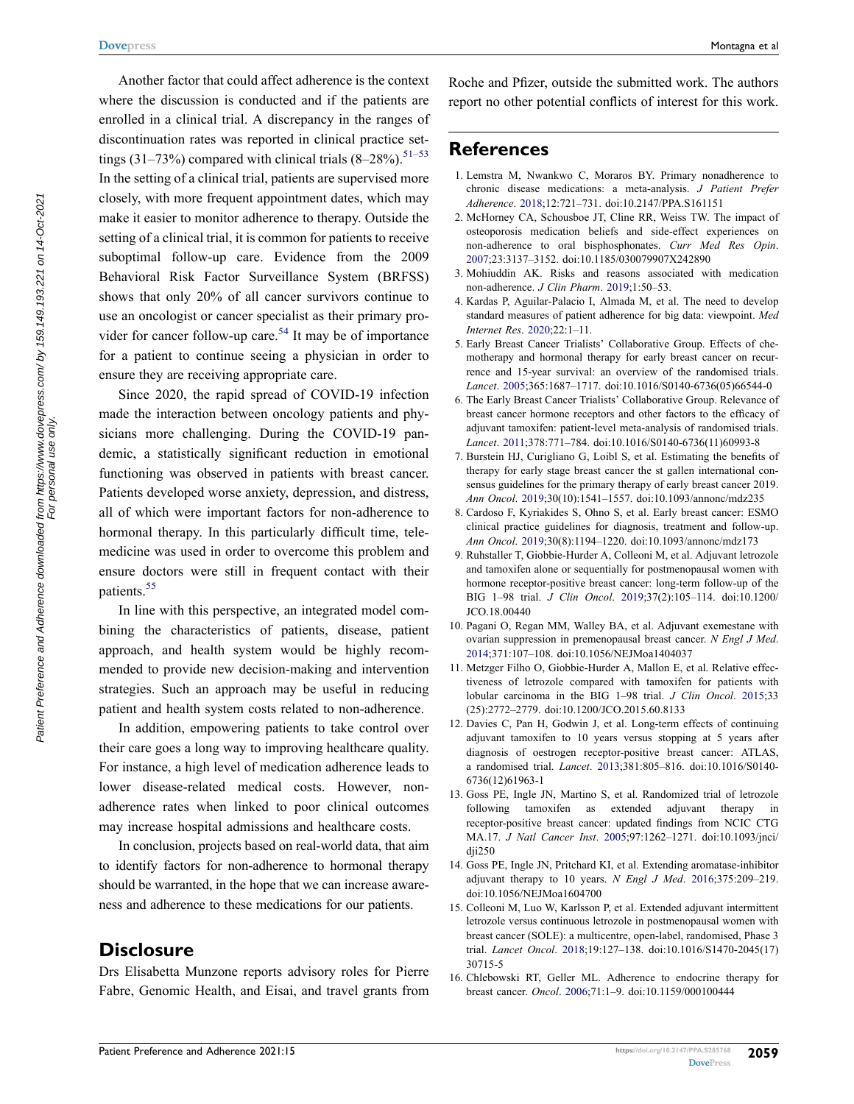Another factor that could affect adherence is the context where the discussion is conducted and if the patients are enrolled in a clinical trial. A discrepancy in the ranges of discontinuation rates was reported in clinical practice settings (31–73%) compared with clinical trials  $(8-28\%)$ .<sup>51–53</sup> In the setting of a clinical trial, patients are supervised more closely, with more frequent appointment dates, which may make it easier to monitor adherence to therapy. Outside the setting of a clinical trial, it is common for patients to receive suboptimal follow-up care. Evidence from the 2009 Behavioral Risk Factor Surveillance System (BRFSS) shows that only 20% of all cancer survivors continue to use an oncologist or cancer specialist as their primary pro-vider for cancer follow-up care.<sup>[54](#page-10-16)</sup> It may be of importance for a patient to continue seeing a physician in order to ensure they are receiving appropriate care.

<span id="page-8-10"></span>Since 2020, the rapid spread of COVID-19 infection made the interaction between oncology patients and physicians more challenging. During the COVID-19 pandemic, a statistically significant reduction in emotional functioning was observed in patients with breast cancer. Patients developed worse anxiety, depression, and distress, all of which were important factors for non-adherence to hormonal therapy. In this particularly difficult time, telemedicine was used in order to overcome this problem and ensure doctors were still in frequent contact with their patients.<sup>[55](#page-10-17)</sup>

<span id="page-8-11"></span>In line with this perspective, an integrated model combining the characteristics of patients, disease, patient approach, and health system would be highly recommended to provide new decision-making and intervention strategies. Such an approach may be useful in reducing patient and health system costs related to non-adherence.

In addition, empowering patients to take control over their care goes a long way to improving healthcare quality. For instance, a high level of medication adherence leads to lower disease-related medical costs. However, nonadherence rates when linked to poor clinical outcomes may increase hospital admissions and healthcare costs.

In conclusion, projects based on real-world data, that aim to identify factors for non-adherence to hormonal therapy should be warranted, in the hope that we can increase awareness and adherence to these medications for our patients.

# **Disclosure**

Drs Elisabetta Munzone reports advisory roles for Pierre Fabre, Genomic Health, and Eisai, and travel grants from Roche and Pfizer, outside the submitted work. The authors report no other potential conflicts of interest for this work.

# **References**

- <span id="page-8-0"></span>1. Lemstra M, Nwankwo C, Moraros BY. Primary nonadherence to chronic disease medications: a meta-analysis. *J Patient Prefer Adherence*. [2018;](#page-0-4)12:721–731. doi:[10.2147/PPA.S161151](https://doi.org/10.2147/PPA.S161151)
- <span id="page-8-1"></span>2. McHorney CA, Schousboe JT, Cline RR, Weiss TW. The impact of osteoporosis medication beliefs and side-effect experiences on non-adherence to oral bisphosphonates. *Curr Med Res Opin*. [2007](#page-0-5);23:3137–3152. doi:[10.1185/030079907X242890](https://doi.org/10.1185/030079907X242890)
- <span id="page-8-2"></span>3. Mohiuddin AK. Risks and reasons associated with medication non-adherence. *J Clin Pharm*. [2019](#page-0-6);1:50–53.
- <span id="page-8-3"></span>4. Kardas P, Aguilar-Palacio I, Almada M, et al. The need to develop standard measures of patient adherence for big data: viewpoint. *Med Internet Res*. [2020;](#page-0-7)22:1–11.
- <span id="page-8-4"></span>5. Early Breast Cancer Trialists' Collaborative Group. Effects of chemotherapy and hormonal therapy for early breast cancer on recurrence and 15-year survival: an overview of the randomised trials. *Lancet*. [2005;](#page-0-8)365:1687–1717. doi:[10.1016/S0140-6736\(05\)66544-0](https://doi.org/10.1016/S0140-6736(05)66544-0)
- <span id="page-8-5"></span>6. The Early Breast Cancer Trialists' Collaborative Group. Relevance of breast cancer hormone receptors and other factors to the efficacy of adjuvant tamoxifen: patient-level meta-analysis of randomised trials. *Lancet*. [2011;](#page-0-8)378:771–784. doi:[10.1016/S0140-6736\(11\)60993-8](https://doi.org/10.1016/S0140-6736(11)60993-8)
- <span id="page-8-6"></span>7. Burstein HJ, Curigliano G, Loibl S, et al. Estimating the benefits of therapy for early stage breast cancer the st gallen international consensus guidelines for the primary therapy of early breast cancer 2019. *Ann Oncol*. [2019](#page-0-9);30(10):1541–1557. doi:[10.1093/annonc/mdz235](https://doi.org/10.1093/annonc/mdz235)
- <span id="page-8-7"></span>8. Cardoso F, Kyriakides S, Ohno S, et al. Early breast cancer: ESMO clinical practice guidelines for diagnosis, treatment and follow-up. *Ann Oncol*. [2019](#page-1-0);30(8):1194–1220. doi:[10.1093/annonc/mdz173](https://doi.org/10.1093/annonc/mdz173)
- 9. Ruhstaller T, Giobbie-Hurder A, Colleoni M, et al. Adjuvant letrozole and tamoxifen alone or sequentially for postmenopausal women with hormone receptor-positive breast cancer: long-term follow-up of the BIG 1–98 trial. *J Clin Oncol*. 2019;37(2):105–114. doi:[10.1200/](https://doi.org/10.1200/JCO.18.00440) [JCO.18.00440](https://doi.org/10.1200/JCO.18.00440)
- 10. Pagani O, Regan MM, Walley BA, et al. Adjuvant exemestane with ovarian suppression in premenopausal breast cancer. *N Engl J Med*. 2014;371:107–108. doi:[10.1056/NEJMoa1404037](https://doi.org/10.1056/NEJMoa1404037)
- 11. Metzger Filho O, Giobbie-Hurder A, Mallon E, et al. Relative effectiveness of letrozole compared with tamoxifen for patients with lobular carcinoma in the BIG 1–98 trial. *J Clin Oncol*. 2015;33 (25):2772–2779. doi:[10.1200/JCO.2015.60.8133](https://doi.org/10.1200/JCO.2015.60.8133)
- <span id="page-8-8"></span>12. Davies C, Pan H, Godwin J, et al. Long-term effects of continuing adjuvant tamoxifen to 10 years versus stopping at 5 years after diagnosis of oestrogen receptor-positive breast cancer: ATLAS, a randomised trial. *Lancet*. [2013;](#page-1-1)381:805–816. doi:[10.1016/S0140-](https://doi.org/10.1016/S0140-6736(12)61963-1) [6736\(12\)61963-1](https://doi.org/10.1016/S0140-6736(12)61963-1)
- 13. Goss PE, Ingle JN, Martino S, et al. Randomized trial of letrozole following tamoxifen as extended adjuvant therapy in receptor-positive breast cancer: updated findings from NCIC CTG MA.17. *J Natl Cancer Inst*. 2005;97:1262–1271. doi:[10.1093/jnci/](https://doi.org/10.1093/jnci/dji250) [dji250](https://doi.org/10.1093/jnci/dji250)
- 14. Goss PE, Ingle JN, Pritchard KI, et al. Extending aromatase-inhibitor adjuvant therapy to 10 years. *N Engl J Med*. 2016;375:209–219. doi:[10.1056/NEJMoa1604700](https://doi.org/10.1056/NEJMoa1604700)
- 15. Colleoni M, Luo W, Karlsson P, et al. Extended adjuvant intermittent letrozole versus continuous letrozole in postmenopausal women with breast cancer (SOLE): a multicentre, open-label, randomised, Phase 3 trial. *Lancet Oncol*. 2018;19:127–138. doi:[10.1016/S1470-2045\(17\)](https://doi.org/10.1016/S1470-2045(17)30715-5) [30715-5](https://doi.org/10.1016/S1470-2045(17)30715-5)
- <span id="page-8-9"></span>16. Chlebowski RT, Geller ML. Adherence to endocrine therapy for breast cancer. *Oncol*. [2006](#page-1-2);71:1–9. doi:[10.1159/000100444](https://doi.org/10.1159/000100444)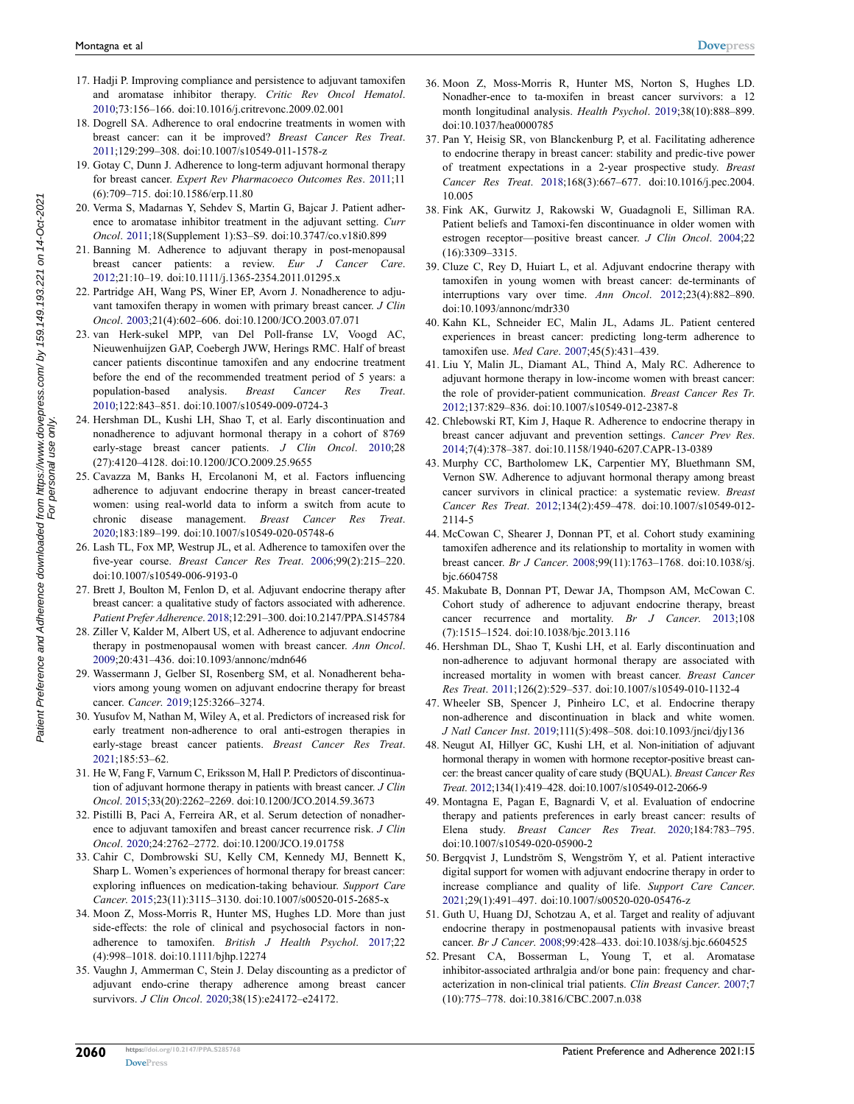- 17. Hadji P. Improving compliance and persistence to adjuvant tamoxifen and aromatase inhibitor therapy. *Critic Rev Oncol Hematol*. 2010;73:156–166. doi:[10.1016/j.critrevonc.2009.02.001](https://doi.org/10.1016/j.critrevonc.2009.02.001)
- 18. Dogrell SA. Adherence to oral endocrine treatments in women with breast cancer: can it be improved? *Breast Cancer Res Treat*. 2011;129:299–308. doi:[10.1007/s10549-011-1578-z](https://doi.org/10.1007/s10549-011-1578-z)
- 19. Gotay C, Dunn J. Adherence to long-term adjuvant hormonal therapy for breast cancer. *Expert Rev Pharmacoeco Outcomes Res*. 2011;11 (6):709–715. doi:[10.1586/erp.11.80](https://doi.org/10.1586/erp.11.80)
- 20. Verma S, Madarnas Y, Sehdev S, Martin G, Bajcar J. Patient adherence to aromatase inhibitor treatment in the adjuvant setting. *Curr Oncol*. 2011;18(Supplement 1):S3–S9. doi:[10.3747/co.v18i0.899](https://doi.org/10.3747/co.v18i0.899)
- 21. Banning M. Adherence to adjuvant therapy in post-menopausal breast cancer patients: a review. *Eur J Cancer Care*. 2012;21:10–19. doi:[10.1111/j.1365-2354.2011.01295.x](https://doi.org/10.1111/j.1365-2354.2011.01295.x)
- <span id="page-9-0"></span>22. Partridge AH, Wang PS, Winer EP, Avorn J. Nonadherence to adjuvant tamoxifen therapy in women with primary breast cancer. *J Clin Oncol*. [2003;](#page-1-3)21(4):602–606. doi:[10.1200/JCO.2003.07.071](https://doi.org/10.1200/JCO.2003.07.071)
- <span id="page-9-1"></span>23. van Herk-sukel MPP, van Del Poll-franse LV, Voogd AC, Nieuwenhuijzen GAP, Coebergh JWW, Herings RMC. Half of breast cancer patients discontinue tamoxifen and any endocrine treatment before the end of the recommended treatment period of 5 years: a population-based analysis. *Breast Cancer Res Treat*. [2010;](#page-1-4)122:843–851. doi:[10.1007/s10549-009-0724-3](https://doi.org/10.1007/s10549-009-0724-3)
- <span id="page-9-2"></span>24. Hershman DL, Kushi LH, Shao T, et al. Early discontinuation and nonadherence to adjuvant hormonal therapy in a cohort of 8769 early-stage breast cancer patients. *J Clin Oncol*. [2010](#page-1-5);28 (27):4120–4128. doi:[10.1200/JCO.2009.25.9655](https://doi.org/10.1200/JCO.2009.25.9655)
- <span id="page-9-3"></span>25. Cavazza M, Banks H, Ercolanoni M, et al. Factors influencing adherence to adjuvant endocrine therapy in breast cancer-treated women: using real-world data to inform a switch from acute to chronic disease management. *Breast Cancer Res Treat*. [2020;](#page-1-6)183:189–199. doi:[10.1007/s10549-020-05748-6](https://doi.org/10.1007/s10549-020-05748-6)
- <span id="page-9-4"></span>26. Lash TL, Fox MP, Westrup JL, et al. Adherence to tamoxifen over the five-year course. *Breast Cancer Res Treat*. [2006;](#page-2-1)99(2):215–220. doi:[10.1007/s10549-006-9193-0](https://doi.org/10.1007/s10549-006-9193-0)
- <span id="page-9-9"></span>27. Brett J, Boulton M, Fenlon D, et al. Adjuvant endocrine therapy after breast cancer: a qualitative study of factors associated with adherence. *Patient Prefer Adherence*. [2018](#page-3-0);12:291–300. doi:[10.2147/PPA.S145784](https://doi.org/10.2147/PPA.S145784)
- <span id="page-9-10"></span>28. Ziller V, Kalder M, Albert US, et al. Adherence to adjuvant endocrine therapy in postmenopausal women with breast cancer. *Ann Oncol*. [2009;](#page-3-1)20:431–436. doi:[10.1093/annonc/mdn646](https://doi.org/10.1093/annonc/mdn646)
- <span id="page-9-11"></span>29. Wassermann J, Gelber SI, Rosenberg SM, et al. Nonadherent behaviors among young women on adjuvant endocrine therapy for breast cancer. *Cancer*. [2019;](#page-3-2)125:3266–3274.
- <span id="page-9-7"></span>30. Yusufov M, Nathan M, Wiley A, et al. Predictors of increased risk for early treatment non-adherence to oral anti-estrogen therapies in early-stage breast cancer patients. *Breast Cancer Res Treat*. [2021;](#page-2-2)185:53–62.
- <span id="page-9-12"></span>31. He W, Fang F, Varnum C, Eriksson M, Hall P. Predictors of discontinuation of adjuvant hormone therapy in patients with breast cancer. *J Clin Oncol*. [2015;](#page-3-3)33(20):2262–2269. doi:[10.1200/JCO.2014.59.3673](https://doi.org/10.1200/JCO.2014.59.3673)
- <span id="page-9-8"></span>32. Pistilli B, Paci A, Ferreira AR, et al. Serum detection of nonadherence to adjuvant tamoxifen and breast cancer recurrence risk. *J Clin Oncol*. [2020;](#page-2-3)24:2762–2772. doi:[10.1200/JCO.19.01758](https://doi.org/10.1200/JCO.19.01758)
- <span id="page-9-14"></span>33. Cahir C, Dombrowski SU, Kelly CM, Kennedy MJ, Bennett K, Sharp L. Women's experiences of hormonal therapy for breast cancer: exploring influences on medication-taking behaviour. *Support Care Cancer*. [2015;](#page-5-1)23(11):3115–3130. doi:[10.1007/s00520-015-2685-x](https://doi.org/10.1007/s00520-015-2685-x)
- <span id="page-9-15"></span>34. Moon Z, Moss-Morris R, Hunter MS, Hughes LD. More than just side-effects: the role of clinical and psychosocial factors in nonadherence to tamoxifen. *British J Health Psychol*. [2017](#page-5-2);22 (4):998–1018. doi:[10.1111/bjhp.12274](https://doi.org/10.1111/bjhp.12274)
- <span id="page-9-16"></span>35. Vaughn J, Ammerman C, Stein J. Delay discounting as a predictor of adjuvant endo-crine therapy adherence among breast cancer survivors. *J Clin Oncol*. [2020;](#page-5-3)38(15):e24172–e24172.
- <span id="page-9-17"></span>36. Moon Z, Moss-Morris R, Hunter MS, Norton S, Hughes LD. Nonadher-ence to ta-moxifen in breast cancer survivors: a 12 month longitudinal analysis. *Health Psychol*. [2019;](#page-5-4)38(10):888–899. doi:[10.1037/hea0000785](https://doi.org/10.1037/hea0000785)
- <span id="page-9-18"></span>37. Pan Y, Heisig SR, von Blanckenburg P, et al. Facilitating adherence to endocrine therapy in breast cancer: stability and predic-tive power of treatment expectations in a 2-year prospective study. *Breast Cancer Res Treat*. [2018](#page-5-5);168(3):667–677. doi:[10.1016/j.pec.2004.](https://doi.org/10.1016/j.pec.2004.10.005) [10.005](https://doi.org/10.1016/j.pec.2004.10.005)
- <span id="page-9-5"></span>38. Fink AK, Gurwitz J, Rakowski W, Guadagnoli E, Silliman RA. Patient beliefs and Tamoxi-fen discontinuance in older women with estrogen receptor—positive breast cancer. *J Clin Oncol*. [2004](#page-2-4);22 (16):3309–3315.
- <span id="page-9-19"></span>39. Cluze C, Rey D, Huiart L, et al. Adjuvant endocrine therapy with tamoxifen in young women with breast cancer: de-terminants of interruptions vary over time. *Ann Oncol*. [2012;](#page-5-6)23(4):882–890. doi:[10.1093/annonc/mdr330](https://doi.org/10.1093/annonc/mdr330)
- <span id="page-9-6"></span>40. Kahn KL, Schneider EC, Malin JL, Adams JL. Patient centered experiences in breast cancer: predicting long-term adherence to tamoxifen use. *Med Care*. [2007](#page-2-5);45(5):431–439.
- <span id="page-9-20"></span>41. Liu Y, Malin JL, Diamant AL, Thind A, Maly RC. Adherence to adjuvant hormone therapy in low-income women with breast cancer: the role of provider-patient communication. *Breast Cancer Res Tr*. [2012](#page-5-7);137:829–836. doi:[10.1007/s10549-012-2387-8](https://doi.org/10.1007/s10549-012-2387-8)
- <span id="page-9-22"></span>42. Chlebowski RT, Kim J, Haque R. Adherence to endocrine therapy in breast cancer adjuvant and prevention settings. *Cancer Prev Res*. [2014](#page-7-1);7(4):378–387. doi:[10.1158/1940-6207.CAPR-13-0389](https://doi.org/10.1158/1940-6207.CAPR-13-0389)
- <span id="page-9-23"></span>43. Murphy CC, Bartholomew LK, Carpentier MY, Bluethmann SM, Vernon SW. Adherence to adjuvant hormonal therapy among breast cancer survivors in clinical practice: a systematic review. *Breast Cancer Res Treat*. [2012](#page-7-1);134(2):459–478. doi:[10.1007/s10549-012-](https://doi.org/10.1007/s10549-012-2114-5) [2114-5](https://doi.org/10.1007/s10549-012-2114-5)
- <span id="page-9-24"></span>44. McCowan C, Shearer J, Donnan PT, et al. Cohort study examining tamoxifen adherence and its relationship to mortality in women with breast cancer. *Br J Cancer*. [2008;](#page-7-2)99(11):1763–1768. doi:[10.1038/sj.](https://doi.org/10.1038/sj.bjc.6604758) [bjc.6604758](https://doi.org/10.1038/sj.bjc.6604758)
- 45. Makubate B, Donnan PT, Dewar JA, Thompson AM, McCowan C. Cohort study of adherence to adjuvant endocrine therapy, breast cancer recurrence and mortality. *Br J Cancer*. 2013;108 (7):1515–1524. doi:[10.1038/bjc.2013.116](https://doi.org/10.1038/bjc.2013.116)
- 46. Hershman DL, Shao T, Kushi LH, et al. Early discontinuation and non-adherence to adjuvant hormonal therapy are associated with increased mortality in women with breast cancer. *Breast Cancer Res Treat*. 2011;126(2):529–537. doi:[10.1007/s10549-010-1132-4](https://doi.org/10.1007/s10549-010-1132-4)
- <span id="page-9-21"></span>47. Wheeler SB, Spencer J, Pinheiro LC, et al. Endocrine therapy non-adherence and discontinuation in black and white women. *J Natl Cancer Inst*. [2019;](#page-5-8)111(5):498–508. doi:[10.1093/jnci/djy136](https://doi.org/10.1093/jnci/djy136)
- <span id="page-9-25"></span>48. Neugut AI, Hillyer GC, Kushi LH, et al. Non-initiation of adjuvant hormonal therapy in women with hormone receptor-positive breast cancer: the breast cancer quality of care study (BQUAL). *Breast Cancer Res Treat*. [2012;](#page-7-3)134(1):419–428. doi:[10.1007/s10549-012-2066-9](https://doi.org/10.1007/s10549-012-2066-9)
- <span id="page-9-26"></span>49. Montagna E, Pagan E, Bagnardi V, et al. Evaluation of endocrine therapy and patients preferences in early breast cancer: results of Elena study. *Breast Cancer Res Treat*. [2020;](#page-7-4)184:783–795. doi:[10.1007/s10549-020-05900-2](https://doi.org/10.1007/s10549-020-05900-2)
- <span id="page-9-27"></span>50. Bergqvist J, Lundström S, Wengström Y, et al. Patient interactive digital support for women with adjuvant endocrine therapy in order to increase compliance and quality of life. *Support Care Cancer*. [2021](#page-7-5);29(1):491–497. doi:[10.1007/s00520-020-05476-z](https://doi.org/10.1007/s00520-020-05476-z)
- <span id="page-9-13"></span>51. Guth U, Huang DJ, Schotzau A, et al. Target and reality of adjuvant endocrine therapy in postmenopausal patients with invasive breast cancer. *Br J Cancer*. [2008](#page-4-1);99:428–433. doi:[10.1038/sj.bjc.6604525](https://doi.org/10.1038/sj.bjc.6604525)
- 52. Presant CA, Bosserman L, Young T, et al. Aromatase inhibitor-associated arthralgia and/or bone pain: frequency and characterization in non-clinical trial patients. *Clin Breast Cancer*. 2007;7 (10):775–778. doi:[10.3816/CBC.2007.n.038](https://doi.org/10.3816/CBC.2007.n.038)